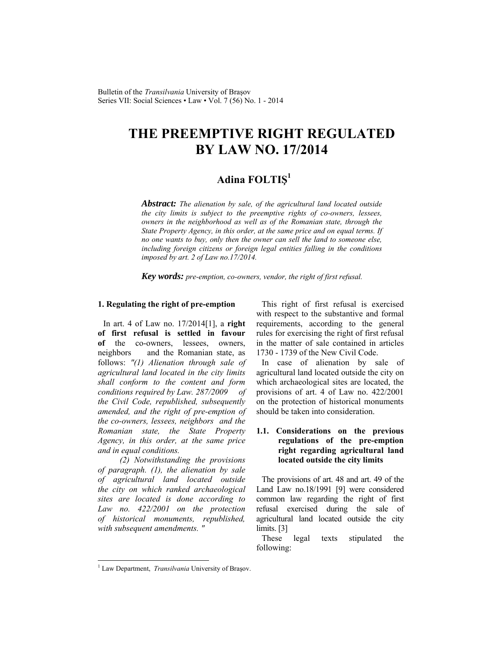# **THE PREEMPTIVE RIGHT REGULATED BY LAW NO. 17/2014**

## **Adina FOLTIŞ<sup>1</sup>**

*Abstract: The alienation by sale, of the agricultural land located outside the city limits is subject to the preemptive rights of co-owners, lessees, owners in the neighborhood as well as of the Romanian state, through the State Property Agency, in this order, at the same price and on equal terms. If no one wants to buy, only then the owner can sell the land to someone else, including foreign citizens or foreign legal entities falling in the conditions imposed by art. 2 of Law no.17/2014.* 

*Key words: pre-emption, co-owners, vendor, the right of first refusal.*

## **1. Regulating the right of pre-emption**

In art. 4 of Law no. 17/2014[1], a **right of first refusal is settled in favour of** the co-owners, lessees, owners, neighbors and the Romanian state, as follows: *"(1) Alienation through sale of agricultural land located in the city limits shall conform to the content and form conditions required by Law. 287/2009 of the Civil Code, republished, subsequently amended, and the right of pre-emption of the co-owners, lessees, neighbors and the Romanian state, the State Property Agency, in this order, at the same price and in equal conditions.*

*(2) Notwithstanding the provisions of paragraph. (1), the alienation by sale of agricultural land located outside the city on which ranked archaeological sites are located is done according to Law no. 422/2001 on the protection of historical monuments, republished, with subsequent amendments. "*

This right of first refusal is exercised with respect to the substantive and formal requirements, according to the general rules for exercising the right of first refusal in the matter of sale contained in articles 1730 - 1739 of the New Civil Code.

In case of alienation by sale of agricultural land located outside the city on which archaeological sites are located, the provisions of art. 4 of Law no. 422/2001 on the protection of historical monuments should be taken into consideration.

## **1.1. Considerations on the previous regulations of the pre-emption right regarding agricultural land located outside the city limits**

The provisions of art. 48 and art. 49 of the Land Law no.18/1991 [9] were considered common law regarding the right of first refusal exercised during the sale of agricultural land located outside the city limits. [3]

These legal texts stipulated the following:

l

<sup>&</sup>lt;sup>1</sup> Law Department, *Transilvania* University of Braşov.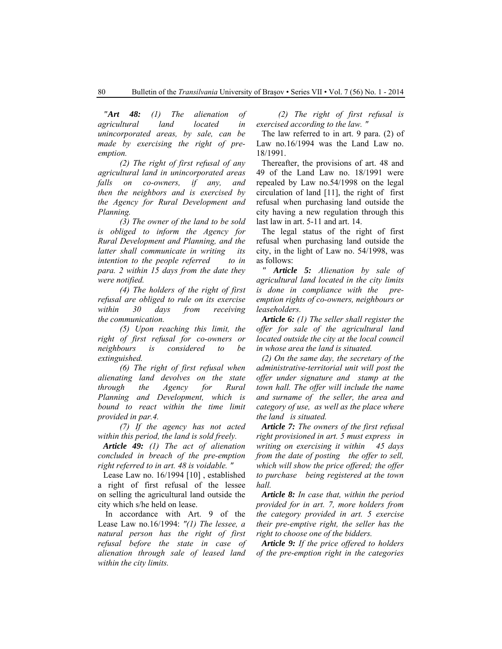*"Art 48: (1) The alienation of agricultural land located in unincorporated areas, by sale, can be made by exercising the right of preemption.*

*(2) The right of first refusal of any agricultural land in unincorporated areas falls on co-owners, if any, and then the neighbors and is exercised by the Agency for Rural Development and Planning.*

*(3) The owner of the land to be sold is obliged to inform the Agency for Rural Development and Planning, and the latter shall communicate in writing its intention to the people referred to in para. 2 within 15 days from the date they were notified.*

*(4) The holders of the right of first refusal are obliged to rule on its exercise within 30 days from receiving the communication.*

*(5) Upon reaching this limit, the right of first refusal for co-owners or neighbours is considered to be extinguished.*

*(6) The right of first refusal when alienating land devolves on the state through the Agency for Rural Planning and Development, which is bound to react within the time limit provided in par.4.*

*(7) If the agency has not acted within this period, the land is sold freely.*

*Article 49: (1) The act of alienation concluded in breach of the pre-emption right referred to in art. 48 is voidable. "*

Lease Law no. 16/1994 [10] , established a right of first refusal of the lessee on selling the agricultural land outside the city which s/he held on lease.

 In accordance with Art. 9 of the Lease Law no.16/1994: *"(1) The lessee, a natural person has the right of first refusal before the state in case of alienation through sale of leased land within the city limits.*

*(2) The right of first refusal is exercised according to the law. "*

The law referred to in art. 9 para. (2) of Law no.16/1994 was the Land Law no. 18/1991.

Thereafter, the provisions of art. 48 and 49 of the Land Law no. 18/1991 were repealed by Law no.54/1998 on the legal circulation of land [11], the right of first refusal when purchasing land outside the city having a new regulation through this last law in art. 5-11 and art. 14.

The legal status of the right of first refusal when purchasing land outside the city, in the light of Law no. 54/1998, was as follows:

*" Article 5: Alienation by sale of agricultural land located in the city limits is done in compliance with the preemption rights of co-owners, neighbours or leaseholders.*

*Article 6: (1) The seller shall register the offer for sale of the agricultural land located outside the city at the local council in whose area the land is situated.*

*(2) On the same day, the secretary of the administrative-territorial unit will post the offer under signature and stamp at the town hall. The offer will include the name and surname of the seller, the area and category of use, as well as the place where the land is situated.*

*Article 7: The owners of the first refusal right provisioned in art. 5 must express in writing on exercising it within 45 days from the date of posting the offer to sell, which will show the price offered; the offer to purchase being registered at the town hall.*

*Article 8: In case that, within the period provided for in art. 7, more holders from the category provided in art. 5 exercise their pre-emptive right, the seller has the right to choose one of the bidders.*

*Article 9: If the price offered to holders of the pre-emption right in the categories*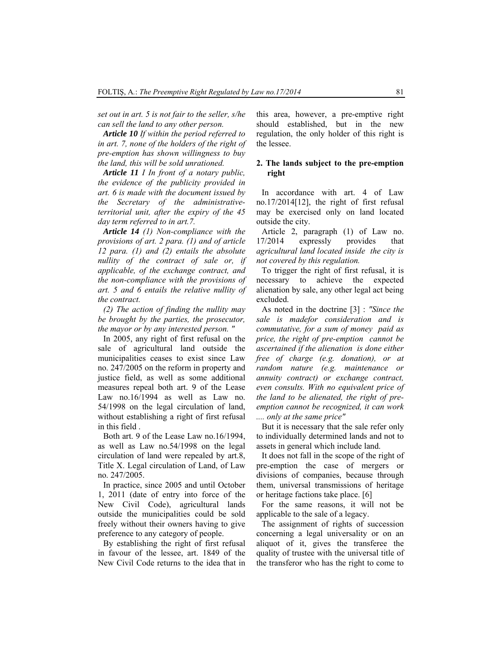*set out in art. 5 is not fair to the seller, s/he can sell the land to any other person.*

*Article 10 If within the period referred to in art. 7, none of the holders of the right of pre-emption has shown willingness to buy the land, this will be sold unrationed.*

*Article 11 I In front of a notary public, the evidence of the publicity provided in art. 6 is made with the document issued by the Secretary of the administrativeterritorial unit, after the expiry of the 45 day term referred to in art.7.*

*Article 14 (1) Non-compliance with the provisions of art. 2 para. (1) and of article 12 para. (1) and (2) entails the absolute nullity of the contract of sale or, if applicable, of the exchange contract, and the non-compliance with the provisions of art. 5 and 6 entails the relative nullity of the contract.*

*(2) The action of finding the nullity may be brought by the parties, the prosecutor, the mayor or by any interested person. "*

In 2005, any right of first refusal on the sale of agricultural land outside the municipalities ceases to exist since Law no. 247/2005 on the reform in property and justice field, as well as some additional measures repeal both art. 9 of the Lease Law no.16/1994 as well as Law no. 54/1998 on the legal circulation of land, without establishing a right of first refusal in this field .

Both art. 9 of the Lease Law no.16/1994, as well as Law no.54/1998 on the legal circulation of land were repealed by art.8, Title X. Legal circulation of Land, of Law no. 247/2005.

In practice, since 2005 and until October 1, 2011 (date of entry into force of the New Civil Code), agricultural lands outside the municipalities could be sold freely without their owners having to give preference to any category of people.

By establishing the right of first refusal in favour of the lessee, art. 1849 of the New Civil Code returns to the idea that in this area, however, a pre-emptive right should established, but in the new regulation, the only holder of this right is the lessee.

### **2. The lands subject to the pre-emption right**

In accordance with art. 4 of Law no.17/2014[12], the right of first refusal may be exercised only on land located outside the city.

Article 2, paragraph (1) of Law no. 17/2014 expressly provides that *agricultural land located inside the city is not covered by this regulation.*

To trigger the right of first refusal, it is necessary to achieve the expected alienation by sale, any other legal act being excluded.

As noted in the doctrine [3] : *"Since the sale is madefor consideration and is commutative, for a sum of money paid as price, the right of pre-emption cannot be ascertained if the alienation is done either free of charge (e.g. donation), or at random nature (e.g. maintenance or annuity contract) or exchange contract, even consults. With no equivalent price of the land to be alienated, the right of preemption cannot be recognized, it can work .... only at the same price"*

But it is necessary that the sale refer only to individually determined lands and not to assets in general which include land.

It does not fall in the scope of the right of pre-emption the case of mergers or divisions of companies, because through them, universal transmissions of heritage or heritage factions take place. [6]

For the same reasons, it will not be applicable to the sale of a legacy.

The assignment of rights of succession concerning a legal universality or on an aliquot of it, gives the transferee the quality of trustee with the universal title of the transferor who has the right to come to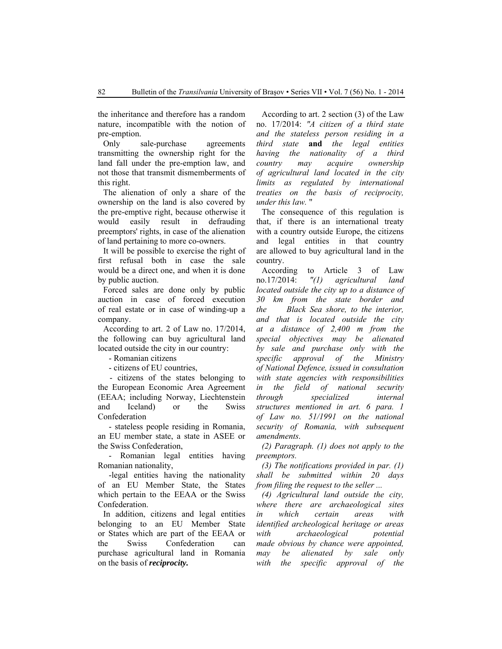the inheritance and therefore has a random nature, incompatible with the notion of pre-emption.

Only sale-purchase agreements transmitting the ownership right for the land fall under the pre-emption law, and not those that transmit dismemberments of this right.

The alienation of only a share of the ownership on the land is also covered by the pre-emptive right, because otherwise it would easily result in defrauding preemptors' rights, in case of the alienation of land pertaining to more co-owners.

It will be possible to exercise the right of first refusal both in case the sale would be a direct one, and when it is done by public auction.

Forced sales are done only by public auction in case of forced execution of real estate or in case of winding-up a company.

According to art. 2 of Law no. 17/2014, the following can buy agricultural land located outside the city in our country:

- Romanian citizens

- citizens of EU countries,

 - citizens of the states belonging to the European Economic Area Agreement (EEAA; including Norway, Liechtenstein and Iceland) or the Swiss Confederation

- stateless people residing in Romania, an EU member state, a state in ASEE or the Swiss Confederation,

- Romanian legal entities having Romanian nationality,

-legal entities having the nationality of an EU Member State, the States which pertain to the EEAA or the Swiss Confederation.

In addition, citizens and legal entities belonging to an EU Member State or States which are part of the EEAA or the Swiss Confederation can purchase agricultural land in Romania on the basis of *reciprocity.*

According to art. 2 section (3) of the Law no. 17/2014: *"A citizen of a third state and the stateless person residing in a third state* **and** *the legal entities having the nationality of a third country may acquire ownership of agricultural land located in the city limits as regulated by international treaties on the basis of reciprocity, under this law.* "

The consequence of this regulation is that, if there is an international treaty with a country outside Europe, the citizens and legal entities in that country are allowed to buy agricultural land in the country.

According to Article 3 of Law no.17/2014: *"(1) agricultural land located outside the city up to a distance of 30 km from the state border and the Black Sea shore, to the interior, and that is located outside the city at a distance of 2,400 m from the special objectives may be alienated by sale and purchase only with the specific approval of the Ministry of National Defence, issued in consultation with state agencies with responsibilities in the field of national security through specialized internal structures mentioned in art. 6 para. 1 of Law no. 51/1991 on the national security of Romania, with subsequent amendments*.

*(2) Paragraph. (1) does not apply to the preemptors.*

*(3) The notifications provided in par. (1) shall be submitted within 20 days from filing the request to the seller ...*

*(4) Agricultural land outside the city, where there are archaeological sites in which certain areas with identified archeological heritage or areas with archaeological potential made obvious by chance were appointed, may be alienated by sale only with the specific approval of the*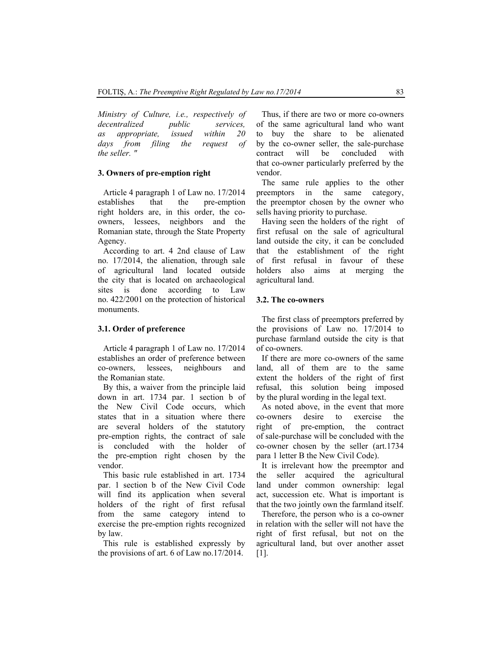*Ministry of Culture, i.e., respectively of decentralized public services, as appropriate, issued within 20 days from filing the request of the seller. "* 

#### **3. Owners of pre-emption right**

Article 4 paragraph 1 of Law no. 17/2014 establishes that the pre-emption right holders are, in this order, the coowners, lessees, neighbors and the Romanian state, through the State Property Agency.

According to art. 4 2nd clause of Law no. 17/2014, the alienation, through sale of agricultural land located outside the city that is located on archaeological sites is done according to Law no. 422/2001 on the protection of historical monuments.

## **3.1. Order of preference**

Article 4 paragraph 1 of Law no. 17/2014 establishes an order of preference between co-owners, lessees, neighbours and the Romanian state.

By this, a waiver from the principle laid down in art. 1734 par. 1 section b of the New Civil Code occurs, which states that in a situation where there are several holders of the statutory pre-emption rights, the contract of sale is concluded with the holder of the pre-emption right chosen by the vendor.

This basic rule established in art. 1734 par. 1 section b of the New Civil Code will find its application when several holders of the right of first refusal from the same category intend to exercise the pre-emption rights recognized by law.

This rule is established expressly by the provisions of art. 6 of Law no.17/2014.

Thus, if there are two or more co-owners of the same agricultural land who want to buy the share to be alienated by the co-owner seller, the sale-purchase contract will be concluded with that co-owner particularly preferred by the vendor.

The same rule applies to the other preemptors in the same category, the preemptor chosen by the owner who sells having priority to purchase.

Having seen the holders of the right of first refusal on the sale of agricultural land outside the city, it can be concluded that the establishment of the right of first refusal in favour of these holders also aims at merging the agricultural land.

#### **3.2. The co-owners**

The first class of preemptors preferred by the provisions of Law no. 17/2014 to purchase farmland outside the city is that of co-owners.

If there are more co-owners of the same land, all of them are to the same extent the holders of the right of first refusal, this solution being imposed by the plural wording in the legal text.

As noted above, in the event that more co-owners desire to exercise the right of pre-emption, the contract of sale-purchase will be concluded with the co-owner chosen by the seller (art.1734 para 1 letter B the New Civil Code).

It is irrelevant how the preemptor and the seller acquired the agricultural land under common ownership: legal act, succession etc. What is important is that the two jointly own the farmland itself.

Therefore, the person who is a co-owner in relation with the seller will not have the right of first refusal, but not on the agricultural land, but over another asset [1].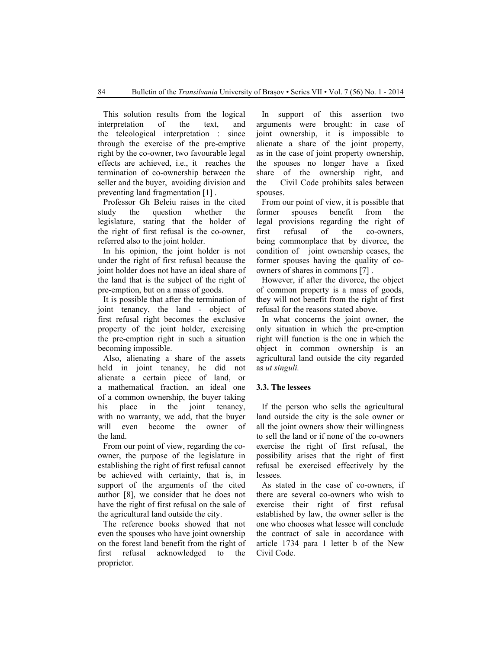This solution results from the logical interpretation of the text, and the teleological interpretation : since through the exercise of the pre-emptive right by the co-owner, two favourable legal effects are achieved, i.e., it reaches the termination of co-ownership between the seller and the buyer, avoiding division and preventing land fragmentation [1] .

Professor Gh Beleiu raises in the cited study the question whether the legislature, stating that the holder of the right of first refusal is the co-owner, referred also to the joint holder.

In his opinion, the joint holder is not under the right of first refusal because the joint holder does not have an ideal share of the land that is the subject of the right of pre-emption, but on a mass of goods.

It is possible that after the termination of joint tenancy, the land - object of first refusal right becomes the exclusive property of the joint holder, exercising the pre-emption right in such a situation becoming impossible.

Also, alienating a share of the assets held in joint tenancy, he did not alienate a certain piece of land, or a mathematical fraction, an ideal one of a common ownership, the buyer taking his place in the joint tenancy, with no warranty, we add, that the buyer will even become the owner of the land.

From our point of view, regarding the coowner, the purpose of the legislature in establishing the right of first refusal cannot be achieved with certainty, that is, in support of the arguments of the cited author [8], we consider that he does not have the right of first refusal on the sale of the agricultural land outside the city.

The reference books showed that not even the spouses who have joint ownership on the forest land benefit from the right of first refusal acknowledged to the proprietor.

In support of this assertion two arguments were brought: in case of joint ownership, it is impossible to alienate a share of the joint property, as in the case of joint property ownership, the spouses no longer have a fixed share of the ownership right, and the Civil Code prohibits sales between spouses.

From our point of view, it is possible that former spouses benefit from the legal provisions regarding the right of first refusal of the co-owners, being commonplace that by divorce, the condition of joint ownership ceases, the former spouses having the quality of coowners of shares in commons [7] .

However, if after the divorce, the object of common property is a mass of goods, they will not benefit from the right of first refusal for the reasons stated above.

In what concerns the joint owner, the only situation in which the pre-emption right will function is the one in which the object in common ownership is an agricultural land outside the city regarded as *ut singuli.* 

## **3.3. The lessees**

If the person who sells the agricultural land outside the city is the sole owner or all the joint owners show their willingness to sell the land or if none of the co-owners exercise the right of first refusal, the possibility arises that the right of first refusal be exercised effectively by the lessees.

As stated in the case of co-owners, if there are several co-owners who wish to exercise their right of first refusal established by law, the owner seller is the one who chooses what lessee will conclude the contract of sale in accordance with article 1734 para 1 letter b of the New Civil Code.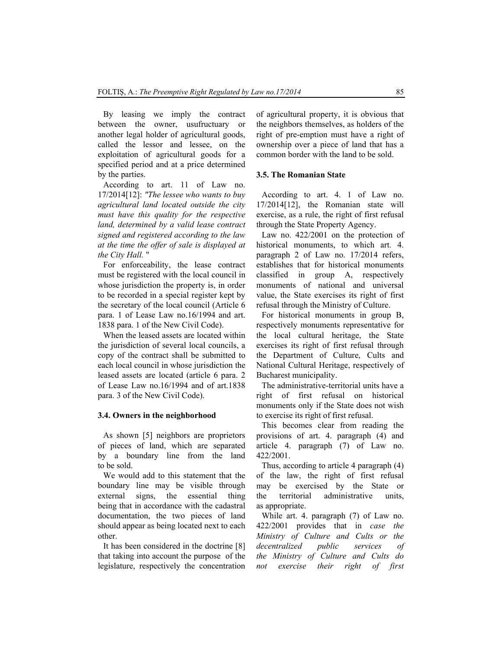By leasing we imply the contract between the owner, usufructuary or another legal holder of agricultural goods, called the lessor and lessee, on the exploitation of agricultural goods for a specified period and at a price determined by the parties.

According to art. 11 of Law no. 17/2014[12]: *"The lessee who wants to buy agricultural land located outside the city must have this quality for the respective land, determined by a valid lease contract signed and registered according to the law at the time the offer of sale is displayed at the City Hall.* "

For enforceability, the lease contract must be registered with the local council in whose jurisdiction the property is, in order to be recorded in a special register kept by the secretary of the local council (Article 6 para. 1 of Lease Law no.16/1994 and art. 1838 para. 1 of the New Civil Code).

When the leased assets are located within the jurisdiction of several local councils, a copy of the contract shall be submitted to each local council in whose jurisdiction the leased assets are located (article 6 para. 2 of Lease Law no.16/1994 and of art.1838 para. 3 of the New Civil Code).

## **3.4. Owners in the neighborhood**

As shown [5] neighbors are proprietors of pieces of land, which are separated by a boundary line from the land to be sold.

We would add to this statement that the boundary line may be visible through external signs, the essential thing being that in accordance with the cadastral documentation, the two pieces of land should appear as being located next to each other.

It has been considered in the doctrine [8] that taking into account the purpose of the legislature, respectively the concentration of agricultural property, it is obvious that the neighbors themselves, as holders of the right of pre-emption must have a right of ownership over a piece of land that has a common border with the land to be sold.

## **3.5. The Romanian State**

According to art. 4. 1 of Law no. 17/2014[12], the Romanian state will exercise, as a rule, the right of first refusal through the State Property Agency.

Law no. 422/2001 on the protection of historical monuments, to which art. 4. paragraph 2 of Law no. 17/2014 refers, establishes that for historical monuments classified in group A, respectively monuments of national and universal value, the State exercises its right of first refusal through the Ministry of Culture.

For historical monuments in group B, respectively monuments representative for the local cultural heritage, the State exercises its right of first refusal through the Department of Culture, Cults and National Cultural Heritage, respectively of Bucharest municipality.

The administrative-territorial units have a right of first refusal on historical monuments only if the State does not wish to exercise its right of first refusal.

This becomes clear from reading the provisions of art. 4. paragraph (4) and article 4. paragraph (7) of Law no. 422/2001.

Thus, according to article 4 paragraph (4) of the law, the right of first refusal may be exercised by the State or the territorial administrative units, as appropriate.

While art. 4. paragraph (7) of Law no. 422/2001 provides that in *case the Ministry of Culture and Cults or the decentralized public services of the Ministry of Culture and Cults do not exercise their right of first*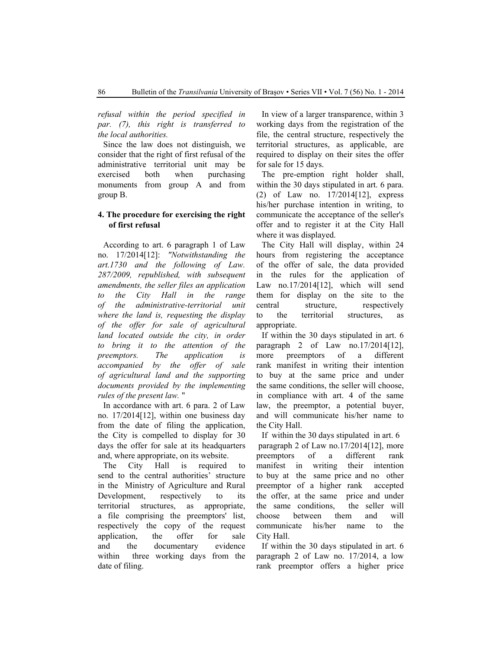*refusal within the period specified in par. (7), this right is transferred to the local authorities.*

Since the law does not distinguish, we consider that the right of first refusal of the administrative territorial unit may be exercised both when purchasing monuments from group A and from group B.

## **4. The procedure for exercising the right of first refusal**

According to art. 6 paragraph 1 of Law no. 17/2014[12]: *"Notwithstanding the art.1730 and the following of Law. 287/2009, republished, with subsequent amendments, the seller files an application to the City Hall in the range of the administrative-territorial unit where the land is, requesting the display of the offer for sale of agricultural land located outside the city, in order to bring it to the attention of the preemptors. The application is accompanied by the offer of sale of agricultural land and the supporting documents provided by the implementing rules of the present law.* "

In accordance with art. 6 para. 2 of Law no. 17/2014[12], within one business day from the date of filing the application, the City is compelled to display for 30 days the offer for sale at its headquarters and, where appropriate, on its website.

The City Hall is required to send to the central authorities' structure in the Ministry of Agriculture and Rural Development, respectively to its territorial structures, as appropriate, a file comprising the preemptors' list, respectively the copy of the request application, the offer for sale and the documentary evidence within three working days from the date of filing.

In view of a larger transparence, within 3 working days from the registration of the file, the central structure, respectively the territorial structures, as applicable, are required to display on their sites the offer for sale for 15 days.

The pre-emption right holder shall, within the 30 days stipulated in art. 6 para. (2) of Law no. 17/2014[12], express his/her purchase intention in writing, to communicate the acceptance of the seller's offer and to register it at the City Hall where it was displayed.

The City Hall will display, within 24 hours from registering the acceptance of the offer of sale, the data provided in the rules for the application of Law no.17/2014[12], which will send them for display on the site to the central structure, respectively to the territorial structures, as appropriate.

If within the 30 days stipulated in art. 6 paragraph 2 of Law  $no.17/2014[12]$ , more preemptors of a different rank manifest in writing their intention to buy at the same price and under the same conditions, the seller will choose, in compliance with art. 4 of the same law, the preemptor, a potential buyer, and will communicate his/her name to the City Hall.

If within the 30 days stipulated in art. 6 paragraph 2 of Law no.17/2014[12], more preemptors of a different rank manifest in writing their intention to buy at the same price and no other preemptor of a higher rank accepted the offer, at the same price and under the same conditions, the seller will choose between them and will communicate his/her name to the City Hall.

If within the 30 days stipulated in art. 6 paragraph 2 of Law no. 17/2014, a low rank preemptor offers a higher price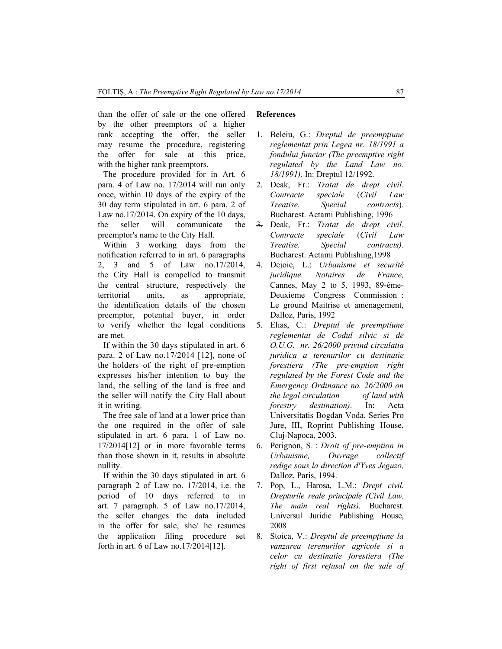than the offer of sale or the one offered by the other preemptors of a higher rank accepting the offer, the seller may resume the procedure, registering the offer for sale at this price, with the higher rank preemptors.

The procedure provided for in Art. 6 para. 4 of Law no. 17/2014 will run only once, within 10 days of the expiry of the 30 day term stipulated in art. 6 para. 2 of Law no.17/2014. On expiry of the 10 days, the seller will communicate the preemptor's name to the City Hall.

Within 3 working days from the notification referred to in art. 6 paragraphs 2, 3 and 5 of Law no.17/2014, the City Hall is compelled to transmit the central structure, respectively the territorial units, as appropriate, the identification details of the chosen preemptor, potential buyer, in order to verify whether the legal conditions are met.

If within the 30 days stipulated in art. 6 para. 2 of Law no.17/2014 [12], none of the holders of the right of pre-emption expresses his/her intention to buy the land, the selling of the land is free and the seller will notify the City Hall about it in writing.

The free sale of land at a lower price than the one required in the offer of sale stipulated in art. 6 para. 1 of Law no. 17/2014[12] or in more favorable terms than those shown in it, results in absolute nullity.

If within the 30 days stipulated in art. 6 paragraph 2 of Law no. 17/2014, i.e. the period of 10 days referred to in art. 7 paragraph. 5 of Law no.17/2014, the seller changes the data included in the offer for sale, she/ he resumes the application filing procedure set forth in art. 6 of Law no.17/2014[12].

## **References**

- 1. Beleiu, G.: *Dreptul de preempţiune reglementat prin Legea nr. 18/1991 a fondului funciar (The preemptive right regulated by the Land Law no. 18/1991).* In: Dreptul 12/1992.
- 2. Deak, Fr.: *Tratat de drept civil. Contracte speciale* (*Civil Law Treatise. Special contracts*). Bucharest. Actami Publishing, 1996
- 3. Deak, Fr.: *Tratat de drept civil. Contracte speciale* (*Civil Law Treatise. Special contracts).* Bucharest. Actami Publishing,1998
- 4. Dejoie, L.: *Urbanisme et securité juridique. Notaires de France,*  Cannes, May 2 to 5, 1993, 89-ème-Deuxieme Congress Commission : Le ground Maitrise et amenagement, Dalloz, Paris, 1992
- 5. Elias, C.: *Dreptul de preemptiune reglementat de Codul silvic si de O.U.G. nr. 26/2000 privind circulatia juridica a terenurilor cu destinatie forestiera (The pre-emption right regulated by the Forest Code and the Emergency Ordinance no. 26/2000 on the legal circulation of land with forestry destination)*. In: Acta Universitatis Bogdan Voda, Series Pro Jure, III, Roprint Publishing House, Cluj-Napoca, 2003.
- 6. Perignon, S. : *Droit of pre-emption in Urbanisme, Ouvrage collectif redige sous la direction d'Yves Jeguzo,* Dalloz, Paris, 1994.
- 7. Pop, L., Harosa, L.M.: *Drept civil. Drepturile reale principale (Civil Law. The main real rights).* Bucharest. Universul Juridic Publishing House, 2008
- 8. Stoica, V.: *Dreptul de preempțiune la vanzarea terenurilor agricole si a celor cu destinatie forestiera (The right of first refusal on the sale of*